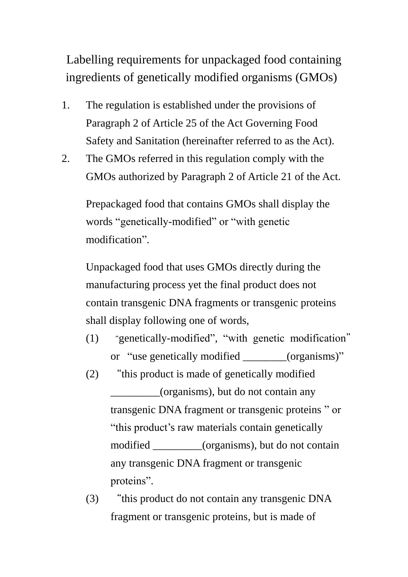Labelling requirements for unpackaged food containing ingredients of genetically modified organisms (GMOs)

- 1. The regulation is established under the provisions of Paragraph 2 of Article 25 of the Act Governing Food Safety and Sanitation (hereinafter referred to as the Act).
- 2. The GMOs referred in this regulation comply with the GMOs authorized by Paragraph 2 of Article 21 of the Act.

Prepackaged food that contains GMOs shall display the words "genetically-modified" or "with genetic modification".

Unpackaged food that uses GMOs directly during the manufacturing process yet the final product does not contain transgenic DNA fragments or transgenic proteins shall display following one of words,

- (1) "genetically-modified", "with genetic modification" or "use genetically modified (organisms)"
- (2) "this product is made of genetically modified \_\_\_\_\_\_\_\_\_(organisms), but do not contain any transgenic DNA fragment or transgenic proteins " or "this product's raw materials contain genetically modified (organisms), but do not contain any transgenic DNA fragment or transgenic proteins".
- (3) "this product do not contain any transgenic DNA fragment or transgenic proteins, but is made of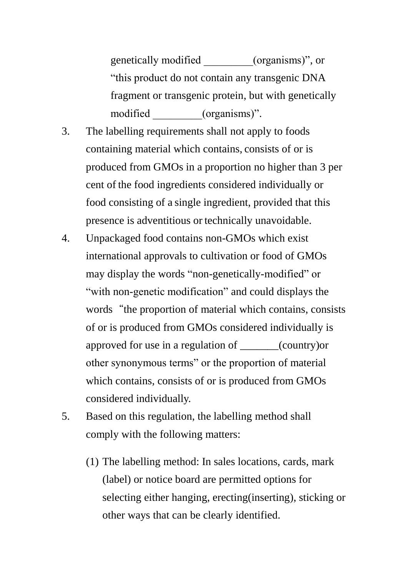genetically modified \_\_\_\_\_\_\_\_\_(organisms)", or "this product do not contain any transgenic DNA fragment or transgenic protein, but with genetically modified (organisms)".

- 3. The labelling requirements shall not apply to foods containing material which contains, consists of or is produced from GMOs in a proportion no higher than 3 per cent of the food ingredients considered individually or food consisting of a single ingredient, provided that this presence is adventitious or technically unavoidable.
- 4. Unpackaged food contains non-GMOs which exist international approvals to cultivation or food of GMOs may display the words "non-genetically-modified" or "with non-genetic modification" and could displays the words "the proportion of material which contains, consists of or is produced from GMOs considered individually is approved for use in a regulation of \_\_\_\_\_\_\_(country)or other synonymous terms" or the proportion of material which contains, consists of or is produced from GMOs considered individually.
- 5. Based on this regulation, the labelling method shall comply with the following matters:
	- (1) The labelling method: In sales locations, cards, mark (label) or notice board are permitted options for selecting either hanging, erecting(inserting), sticking or other ways that can be clearly identified.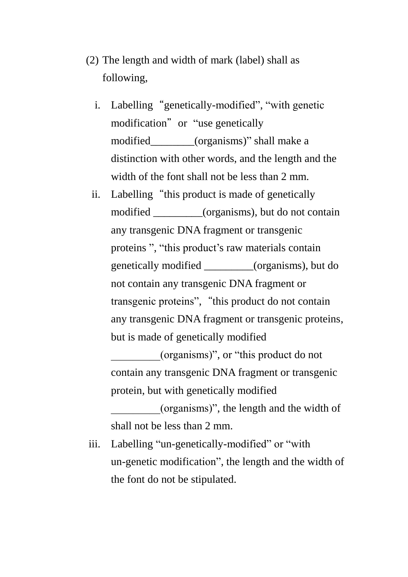- (2) The length and width of mark (label) shall as following,
	- i. Labelling "genetically-modified", "with genetic modification" or "use genetically modified\_\_\_\_\_\_\_\_(organisms)" shall make a distinction with other words, and the length and the width of the font shall not be less than 2 mm.
	- ii. Labelling "this product is made of genetically modified (organisms), but do not contain any transgenic DNA fragment or transgenic proteins ", "this product's raw materials contain genetically modified \_\_\_\_\_\_\_\_\_(organisms), but do not contain any transgenic DNA fragment or transgenic proteins", "this product do not contain any transgenic DNA fragment or transgenic proteins, but is made of genetically modified \_\_\_\_\_\_\_\_\_(organisms)", or "this product do not

contain any transgenic DNA fragment or transgenic protein, but with genetically modified

\_\_\_\_\_\_\_\_\_(organisms)", the length and the width of shall not be less than 2 mm.

iii. Labelling "un-genetically-modified" or "with un-genetic modification", the length and the width of the font do not be stipulated.